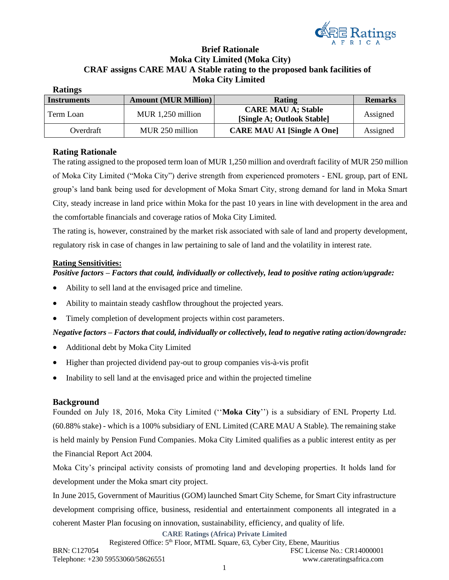

# **Brief Rationale Moka City Limited (Moka City) CRAF assigns CARE MAU A Stable rating to the proposed bank facilities of Moka City Limited**

| <b>Ratings</b>     |                             |                                                         |                |
|--------------------|-----------------------------|---------------------------------------------------------|----------------|
| <b>Instruments</b> | <b>Amount (MUR Million)</b> | Rating                                                  | <b>Remarks</b> |
| Term Loan          | MUR 1,250 million           | <b>CARE MAU A; Stable</b><br>[Single A; Outlook Stable] | Assigned       |
| Overdraft          | MUR 250 million             | <b>CARE MAU A1 [Single A One]</b>                       | Assigned       |

## **Rating Rationale**

The rating assigned to the proposed term loan of MUR 1,250 million and overdraft facility of MUR 250 million of Moka City Limited ("Moka City") derive strength from experienced promoters - ENL group, part of ENL group's land bank being used for development of Moka Smart City, strong demand for land in Moka Smart City, steady increase in land price within Moka for the past 10 years in line with development in the area and the comfortable financials and coverage ratios of Moka City Limited.

The rating is, however, constrained by the market risk associated with sale of land and property development, regulatory risk in case of changes in law pertaining to sale of land and the volatility in interest rate.

### **Rating Sensitivities:**

## *Positive factors – Factors that could, individually or collectively, lead to positive rating action/upgrade:*

- Ability to sell land at the envisaged price and timeline.
- Ability to maintain steady cashflow throughout the projected years.
- Timely completion of development projects within cost parameters.

## *Negative factors – Factors that could, individually or collectively, lead to negative rating action/downgrade:*

- Additional debt by Moka City Limited
- Higher than projected dividend pay-out to group companies vis-à-vis profit
- Inability to sell land at the envisaged price and within the projected timeline

## **Background**

Founded on July 18, 2016, Moka City Limited (''**Moka City**'') is a subsidiary of ENL Property Ltd. (60.88% stake) - which is a 100% subsidiary of ENL Limited (CARE MAU A Stable). The remaining stake is held mainly by Pension Fund Companies. Moka City Limited qualifies as a public interest entity as per the Financial Report Act 2004.

Moka City's principal activity consists of promoting land and developing properties. It holds land for development under the Moka smart city project.

In June 2015, Government of Mauritius (GOM) launched Smart City Scheme, for Smart City infrastructure development comprising office, business, residential and entertainment components all integrated in a coherent Master Plan focusing on innovation, sustainability, efficiency, and quality of life.

**CARE Ratings (Africa) Private Limited**

Registered Office: 5th Floor, MTML Square, 63, Cyber City, Ebene, Mauritius BRN: C127054 FSC License No.: CR14000001 Telephone: +230 59553060/58626551 www.careratingsafrica.com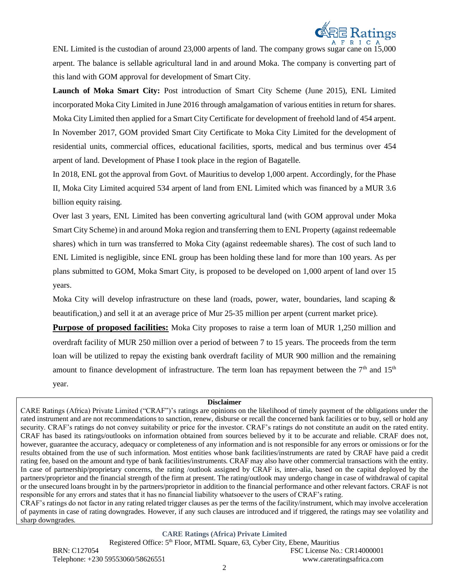

ENL Limited is the custodian of around 23,000 arpents of land. The company grows sugar cane on 15,000 arpent. The balance is sellable agricultural land in and around Moka. The company is converting part of this land with GOM approval for development of Smart City.

**Launch of Moka Smart City:** Post introduction of Smart City Scheme (June 2015), ENL Limited incorporated Moka City Limited in June 2016 through amalgamation of various entities in return for shares. Moka City Limited then applied for a Smart City Certificate for development of freehold land of 454 arpent. In November 2017, GOM provided Smart City Certificate to Moka City Limited for the development of residential units, commercial offices, educational facilities, sports, medical and bus terminus over 454 arpent of land. Development of Phase I took place in the region of Bagatelle.

In 2018, ENL got the approval from Govt. of Mauritius to develop 1,000 arpent. Accordingly, for the Phase II, Moka City Limited acquired 534 arpent of land from ENL Limited which was financed by a MUR 3.6 billion equity raising.

Over last 3 years, ENL Limited has been converting agricultural land (with GOM approval under Moka Smart City Scheme) in and around Moka region and transferring them to ENL Property (against redeemable shares) which in turn was transferred to Moka City (against redeemable shares). The cost of such land to ENL Limited is negligible, since ENL group has been holding these land for more than 100 years. As per plans submitted to GOM, Moka Smart City, is proposed to be developed on 1,000 arpent of land over 15 years.

Moka City will develop infrastructure on these land (roads, power, water, boundaries, land scaping & beautification,) and sell it at an average price of Mur 25-35 million per arpent (current market price).

**Purpose of proposed facilities:** Moka City proposes to raise a term loan of MUR 1,250 million and overdraft facility of MUR 250 million over a period of between 7 to 15 years. The proceeds from the term loan will be utilized to repay the existing bank overdraft facility of MUR 900 million and the remaining amount to finance development of infrastructure. The term loan has repayment between the  $7<sup>th</sup>$  and  $15<sup>th</sup>$ year.

#### **Disclaimer**

CARE Ratings (Africa) Private Limited ("CRAF")'s ratings are opinions on the likelihood of timely payment of the obligations under the rated instrument and are not recommendations to sanction, renew, disburse or recall the concerned bank facilities or to buy, sell or hold any security. CRAF's ratings do not convey suitability or price for the investor. CRAF's ratings do not constitute an audit on the rated entity. CRAF has based its ratings/outlooks on information obtained from sources believed by it to be accurate and reliable. CRAF does not, however, guarantee the accuracy, adequacy or completeness of any information and is not responsible for any errors or omissions or for the results obtained from the use of such information. Most entities whose bank facilities/instruments are rated by CRAF have paid a credit rating fee, based on the amount and type of bank facilities/instruments. CRAF may also have other commercial transactions with the entity. In case of partnership/proprietary concerns, the rating /outlook assigned by CRAF is, inter-alia, based on the capital deployed by the partners/proprietor and the financial strength of the firm at present. The rating/outlook may undergo change in case of withdrawal of capital or the unsecured loans brought in by the partners/proprietor in addition to the financial performance and other relevant factors. CRAF is not responsible for any errors and states that it has no financial liability whatsoever to the users of CRAF's rating.

CRAF's ratings do not factor in any rating related trigger clauses as per the terms of the facility/instrument, which may involve acceleration of payments in case of rating downgrades. However, if any such clauses are introduced and if triggered, the ratings may see volatility and sharp downgrades.

### **CARE Ratings (Africa) Private Limited**

Registered Office: 5th Floor, MTML Square, 63, Cyber City, Ebene, Mauritius BRN: C127054 FSC License No.: CR14000001 Telephone: +230 59553060/58626551 www.careratingsafrica.com